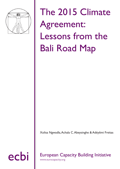

The 2015 Climate Agreement: Lessons from the Bali Road Map

Xolisa Ngwadla, Achala C. Abeysinghe & Adéyêmi Freitas

# ecbi European Capacity Building Initiative

www.eurocapacity.org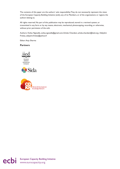The contents of this paper are the authors' sole responsibility. They do not necessarily represent the views of the European Capacity Building Initiative (ecbi), any of its Members, or of the organisations or regions the authors belong to.

All rights reserved. No part of this publication may be reproduced, stored in a retrieval system, or transmitted in any form or by any means, electronic, mechanical, photocopying, recording, or otherwise, without prior permission of the ecbi.

Authors: Xolisa Ngwadla, xolisa.ngwadla@gmail.com; Achala Chandani, achala.chandani@iied.org; Adéyêmi Freitas, adeyemi.freitas@yahoo.fr

Editor: Anju Sharma

**Partners**







ecbi European Capacity Building Initiative<br>
www.eurocapacity.org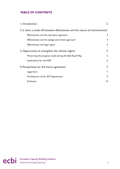## **TABLE OF CONTENTS**

| I. Introduction                                                              | $\overline{2}$  |
|------------------------------------------------------------------------------|-----------------|
| 2. Is there a trade-off between effectiveness and the nature of commitments? |                 |
| Effectiveness and the top-down approach                                      | 3               |
| Effectiveness and the pledge and review approach                             | $\overline{4}$  |
| Effectiveness and legal rigour                                               | $\overline{4}$  |
| 3. Opportunity to strengthen the climate regime                              | 5               |
| Preserving the progress made during the Bali Road Map                        | 5               |
| Implications for the ADP                                                     | 6               |
| 4. Perspectives for the future agreement                                     | 7               |
| Legal form                                                                   | 7               |
| Architecture of the 2015 Agreement                                           | 9               |
| <b>Endnotes</b>                                                              | $\overline{10}$ |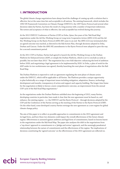## **1. INTRODUCTION**

The global climate change negotiations have always faced the challenge of coming up with a solution that is effective, but at the same time fair and acceptable to all nations. The existing framework, which includes the 1992 UN Framework Convention on Climate Change (UNFCCC), the 1997 Kyoto Protocol and several other decisions taken by Parties, has been the result of a long journey with a number of important milestones. The notion and acceptance of what is effective, fair and acceptable has evolved during this journey.

At the 2012 UNFCCC Conference of Parties (COP) in Doha, Qatar, five years of the 'Bali Road Map' negotiations under the Ad-Hoc Working Group on Long-term Cooperative Action (AWG-LCA) and the Ad-Hoc Working Group on the Kyoto Protocol (AWG-KP) came to an end. The AWG-LCA was terminated after an agreed outcome was reached, as directed in the Bali Action Plan, through decisions adopted in Doha, Durban and Cancun. Under the AWG-KP, amendments to the Kyoto Protocol were adopted to pave the way for a second commitment period.

At the 2011 COP in Durban, Parties had agreed to launch the Ad-Hoc Working Group on the Durban Platform for Enhanced Action (ADP), or simply the Durban Platform, which is set to conclude as early as possible, but not later than 2015. $^{\rm 1}$  The negotiation has a two-fold objective: enhancing the level of ambition before 2020; and negotiating a legal agreement to be implemented by 2020. In Doha, a plan of work for the ADP under its two workstreams was agreed, thereby launching the next phase of negotiations after the Bali Road Map.

The Durban Platform is expected to craft an agreement regulating the next phase of climate action under the UNFCCC, which will be applicable to all Parties. The Platform provides a unique opportunity to plan holistically on a range of important issues including mitigation, adaptation, finance, technology development and transfer, transparency of action and support and capacity-building. The longer time frame for the negotiation is likely to favour a more comprehensive outcome, an improvement from the annual COP cycle of the Bali Road Map negotiations.2

As the negotiations under the Durban Platform unfolded since the beginning of 2012, many Parties, developing countries in particular, have made it clear that the new agreement must be based on, and enhance, the existing regime – i.e. the UNFCCC and the Kyoto Protocol – through decisions adopted by the COP and the Conference of the Parties serving as the meeting of the Parties to the Kyoto Protocol (CMP). On the other hand, some developed country Parties envisage the new agreement as a new regime for global climate change policy.

The aim of this paper is to reflect on possible approaches to commitments in the 2015 agreement and its legal form, and how these two elements could impact the overall effectiveness of the future climate regime. Effectiveness is assessed against ambition and legal form of commitments, based on lessons learnt in the negotiations under the Bali Road Map. The paper also analyses the shift in the negotiations from a 'top-down' approach to commitments to a 'pledge and review' approach, and the seemingly paradoxical relationship between the nature of commitments and the effectiveness of the regime. The implications of decisions constituting the 'agreed outcome' on the effectiveness of the 2015 agreement are reflected on.

ecbi European Capacity Building Initiative **2**<br> **2**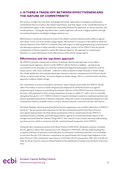## **2. IS THERE A TRADE-OFF BETWEEN EFFECTIVENESS AND THE NATURE OF COMMITMENTS?**

This section considers the 'top-down' and 'pledge and review' approaches to mitigation and financial commitments that are at play in the climate negotiations, and their impact on the overall effectiveness of the multilateral regime. It also considers the relationship between the legal form of a future outcome, and overall ambition – testing the hypothesis that a weaker legal form will result in higher ambition through increased participation and pledges of bigger emission cuts.

Effectiveness is commonly measured in terms of the ability to produce desired results within an agreed time frame. In the case of the climate change regime, effectiveness is a measure of the extent to which the ultimate objective of the UNFCCC is achieved, both with respect to reducing greenhouse gas concentrations and allowing ecosystems to adapt naturally to climate change. Article 4 of the UNFCCC lists the specific commitments of Parties required to realise this ultimate objective. The approach to commitments, therefore, is a major determinant of the effectiveness of the climate change regime.

#### **Effectiveness and the top-down approach**

The UNFCCC provides a framework to achieve its ultimate objective through what can be called a 'constraint-based' approach. Article 2 of the UNFCCC calls for Parties to stabilise *'...greenhouse gas concentrations in the atmosphere at a level that would prevent dangerous anthropogenic interference with the climate system*,' with a time constraint *'...sufficient to allow ecosystems to adapt naturally to climate change …*'. This clearly implies that the total greenhouse gas emissions reduction commitments by all Parties should add up, at a given point of time, to prevent dangerous climate change. This is a constrain based, top-down approach to address climate change.

The commitment to action is extended to all Parties.<sup>3</sup> Hence climate action under the UNFCCC should reflect the totality of actions towards mitigation and adaptation by all Parties based on an agreed temperature goal. Progress in quantifying the ultimate objective of the UNFCCC has been achieved over the years, with agreement to limit average temperature increase to within 2°C, with a view to eventually strengthen that goal to 1.5°C.<sup>4</sup>UNFCCC Article 4.2 requires developed countries to implement policies and present quantified projections of emission reductions, within the context of assessing the adequacy of such commitments based on available science as well as relevant technical, social and economic information.

The Berlin Mandate, which launched the Kyoto Protocol negotiations, was a further elaboration of UNFCCC Article 4.2. The process by which reductions for the first commitment period of the Kyoto Protocol were agreed made provision for Party-driven assessments of those commitments by the UNFCCC's Subsidiary Body for Scientific and Technological Advice, against the Second Assessment Report of the Intergovernmental Panel for Climate Change (IPCC). This created a science-based, internationally binding, top-down process, which is consistent with the 'constraint based' perspective of the UNFCCC.

During the first commitment period of the Kyoto Protocol (2008-2012), developed countries, including the US, agreed to reduce their emissions by 5.2% compared to 1990 levels, with the understanding that a stepwise reduction of emissions would take place in subsequent commitment periods. (It is worthwhile to note here that the 5.2% reduction commitment was agreed despite the stronger legal obligation of the Kyoto Protocol.) This commitment came down to 4.25% when the US announced in 2001 that it would not ratify the Kyoto Protocol, and was reduced further by the withdrawal of Canada from the Kyoto Protocol in 2012.

# ecbi European Capacity Building Initiative **3**<br> **3**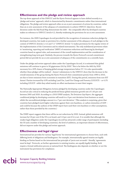#### **Effectiveness and the pledge and review approach**

The top-down approach of the UNFCCC and the Kyoto Protocol appears to have shifted recently to a 'pledge and review' approach, which is characterised by domestic commitments rather than international obligations. The pledge and review approach relies on an *ex post* assessment of actions by countries, rather than an *ex ante* assessment of the adequacy of commitments to achieve UNFCCC objectives. Recent decisions under the Bali Road Map demonstrate the shift – the comparable effort by developed countries makes no reference to UNFCCC Article 4.2, thereby weakening the provisions for an *ex ante* assessment.

For instance, the 2009 Copenhagen Accord provided for the recognition of emissions reduction pledges by developed countries, but made no provision for a further assessment of the adequacy of such pledges in the context of UNFCCC Articles 2, 4.2 and 7.2.<sup>5</sup> (UNFCCC Article 7.2 makes provisions for the regular review of the implementation of the Convention and its related instruments). The only multilateral provisions relate to 'monitoring, reporting and verification' (MRV) of emissions reductions and financing by developed countries based on agreed rules, and assessment of the overall implementation and the consideration of strengthening long-term goal. Similarly, the process towards the Kyoto Protocol's second commitment period did not provide for an *ex ante* assessment of adequacy of the commitments on a scientific basis.

Under the pledge and review approach taken under the Copenhagen Accord, it is estimated that global emissions will continue to grow to 56 gigatonnes (Gt) by 2020.<sup>6</sup> This is far below the 44Gt by 2020 necessary for a 50% chance of keeping global average temperatures below 2°C. It is also questionable whether these pledges will be realised – Annex I submissions to the UNFCCC show that the decrease in the overall emissions of the group during the Kyoto Protocol's first commitment period, from 1990 to 2010, are due to lower emissions from economies in transition (EIT). During this period, emissions from non-EIT Annex I Parties increased by 4.9% excluding Land Use, Land-Use Change and Forestry (LULUCF) – or 4.1% including LULUCF –while they relied mainly on offset mechanisms to meet their targets.

The Nationally Appropriate Mitigation Actions pledged by developing countries under the Copenhagen Accord are also critical in reducing the predicted linear global emissions growth rate of 1.63 per cent between 2005 and 2020. According to a 2010 UNEP analysis, *The Emissions Gap Report*, the aggregate conditional pledge by developing countries will result in a 9 per cent deviation from business as usual, whilst the unconditional pledges amount to a 7 per cent deviation. $^7$  (This analysis is surprising, given that countries have pledged much higher reductions against their own baselines, or carbon intensities of GDP – and could be because the authors of the UNEP report have used their own baselines or other assumptions, rather than those provided by the countries.)

The UNEP report suggests that there will be no net reductions by 2020. Instead, global emissions will increase by 0.8 per cent if the US is on board, and 1.8 per cent if it is not. It is notable that although the weaker legal obligation under the Copenhagen Accord has attracted a wider range of participants (including the US and a number of developing countries), the level of ambition, an important element of effectiveness, did not improve under this pledge and review approach.

#### **Effectiveness and legal rigour**

International law provides for various 'legal forms' for international agreements to choose from, each with differing levels of obligations and bindingness. For example, internationally agreed treaties are legally binding on Parties based on the international law principle of '*pacta sunt servanda*'– literally, 'agreements must be kept'. Protocols, as further agreements to existing treaties, are equally legally binding. Both require a formal ratification process at national level. The bindingness also depends on whether or not the instrument has provisions for compliance.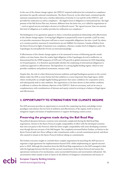In the case of the climate change regime, the UNFCCC required ratification but contained no compliance provisions for specific national commitments. The Kyoto Protocol, on the other hand, contained specific national commitments that were a further elaboration of Articles 4.2 (a) and (b) of the UNFCCC, and provided for ratification as well as compliance – the highest level of obligation in international law. The legal premise of the Bali Action Plan was, however, different from the latter two, as it called for negotiations to '*...reach an agreed outcome and adopt a decision at its fifteenth session*'. The '*agreed outcome*' does not warrant this level of obligation as it neither provides for ratification nor compliance . 8

The bindingness of an agreement appears to share a somewhat paradoxical relationship with effectiveness in the climate change regime. A strong legal obligation is purported by some to provide a 'pull' by some, as it provides reassurance that peers will have to meet comparable obligations, but also a 'push' by others as it contains punitive measures if commitments are not fulfilled. For instance, Canada withdrew from the Kyoto Protocol in light of imminent non-compliance, whereas a weaker level of obligation under the Copenhagen Accord pulled the US into an international pledge.

If effectiveness of the climate change regime is to be measured in terms of delivering specific results within a set time frame, then the weaker legal obligation of the Copenhagen Accord is ineffective, as demonstrated by the UNEP prognosis of 0.8% and 1.8% growth in global emissions by 2020 depending on US participation. It is therefore questionable whether the weakening of international obligations is a judicious approach to effectiveness. The hypothesis of a strong legally binding regime, which in turn provides confidence and political momentum, remains valid.

Despite this, the risk of a false dichotomy between ambition and legal bindingness persists in the current debate under the ADP, as some Parties feel that ambition is a more important than legal rigour, whilst others would prefer an airtight legally binding agreement that raises confidence for cooperative action, and subsequently seek to raise ambition. The negotiations so far have shown us that neither condition is sufficient to achieve the ultimate objective of the UNFCCC. Both are necessary, and can be seen as complementary, with considerations of fairness and equity central at arriving at a balance of legal rigour and effectiveness.

## **3. OPPORTUNITY TO STRENGTHEN THE CLIMATE REGIME**

The ADP processes provides an opportunity to reconcile the competing top-down and pledge-review paradigms and enhance the low level of ambition and effectiveness of the regime, both in terms of mitigation targets and means of implementation to support developing country action.

#### **Preserving the progress made during the Bali Road Map**

The political dynamics between countries were extremely complicated during the Bali Road Map negotiations. Parties to the Kyoto Protocol sought comparability of effort with the developed countries that were not party to the Protocol, while the latter sought comparability with some developing countries even though this was not part of the Bali bargain. The complexity increased before Durban, as Parties to the Kyoto Protocol split into those willing to take commitments under a second commitment period, and those who wanted to remain in the Kyoto Protocol without taking on commitments.

The Durban outcomes sought to conclude these complex negotiations by launching the ADP process to negotiate a legal agreement for implementation beyond 2020, whilst implementing an 'agreed outcome' prior to 2020. Although the transition from the Bali Road Map negotiations to the ADP managed to deal with the legal gap between the first and the second commitment of the Kyoto Protocol and ensure the operational continuity of its mechanisms, some unconcluded business and uncertainties still persist. The uncertainties relate mainly to lack of clarity on the delivery of mitigation commitments and means of

ecbi European Capacity Building Initiative **5**<br> **Example 20** intervention of the entries of the entries of the entries of the entries of the entries of the entries of the entries of the entries of the entries of the entrie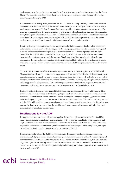implementation in the pre-2020 period, and the ability of institutions and mechanisms such as the Green Climate Fund, the Climate Technology Centre and Networks, and the Adaptation Framework to deliver concrete support going to 2020.

The Doha outcomes merely make provisions for "further understanding" the mitigation commitments of developed countries not covered by the second commitment period of the Kyoto Protocol. $^{\circ}$  To that end, a work programme was established for quantified economy-wide emissions reduction targets provided for ensuring comparability in the implementation of actions by developed countries, thus providing space for strengthening commitments. In the interests of effectiveness and fairness, it is important that deeper cuts are achieved from developed countries through the 2013-2015 Review as agreed in Cancun, the review mechanism under the Kyoto Protocol, and the ambition workstream under the ADP.

The strengthening of commitments should not, however, be limited to mitigation but relate also to post-2013 finance, in the context of Article 4.3, under the work programme on long-term finance. The 'agreed outcome' only goes as far as urging developed countries to announce financial pledges and strategies to mobilise the US\$100 billion promised in Copenhagen by 2020. It is essential that the commitment to provide developing countries with the 'means of implementation' is strengthened and made more transparent, drawing on lessons from fast-start finance. It should also address the contribution of public and private sources, with an agreement on accounting for 'projected leveraged resources' from the private sector.

On institutions, several useful structures and operational mechanisms were agreed to in the Bali Road Map negotiations. Given the relevance and importance of these mechanisms in the 2015 agreement, their operationalization is urgent. Instead of a renegotiation, a discussion of how such institutions form part of the agreement is needed. These include mechanisms to address transparency, reporting formats for finance, technology transfer, adaptation and loss and damage, new market mechanisms, response measures, and the review mechanism that is meant to start its first review in 2013 and conclude by 2015.

The important political issues that marred the Bali Road Map negotiations should be addressed within a context of how they contribute to the future legal agreement, premised on deliberations of how they will be reflected in the new agreement. The consideration of the global temperature goal, aggregate emission reduction targets, adaptation, and the means of implementation is central to fairness in a future agreement and should be addressed in a more practical manner. Some ideas emanating from the equity discussion may warrant further investigation, such as the need for a reference framework against which fair efforts and contributions by each Party are assessed.

#### **Implications for the ADP**

The approach to commitments and processes applied during the implementation of the Bali Road Map has a strong influence on the future implementation of the regime. As noted before, the agreement and implementation of the first commitment period of the Kyoto Protocol was characterised by a multilateral negotiation of emissions commitments, within a set of multilaterally agreed rules, compliance, and a predetermined legal outcome (a protocol or instrument of the UNFCCC).

The same cannot be said of the Bali Road Map outcomes. The emission reductions communicated by countries are pledges, as are the financial promises (both fast start finance as well as the Copenhagen goal of mobilizing US\$100 billion jointly per year by 2020). There is neither a scientific base, nor a multilateral negotiation process for their agreement. This can be viewed as a dilution of the multilateral nature of cooperative actions under the UNFCCC, potentially undermining a top-down approach or a combination of the two under the ADP.

ecbi European Capacity Building Initiative 6<br> **example:** www.eurocapacity.org 6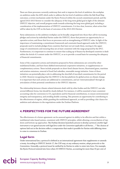There are three processes currently underway that seek to improve the level of ambition: the workplan on ambition under the ADP, which seeks to address the low level of ambition within the Bali Road Map outcomes; a review mechanism under the Kyoto Protocol within the second commitment period; and the agreed 2013-2015 Review to consider the adequacy of the long-term global goal in light of the ultimate UNFCCC objective, and overall progress made towards achieving the long-term global goal, including a consideration of the implementation of UNFCCC commitments. It is less clear, however, what action that will be taken by the COP on the basis of outcomes of the 2013-2015 Review.

Party submissions on the ambition workplan can be broadly categorized into those that call for increasing pledges and actions by individual Parties under the UNFCCC; those that present an opportunity for cooperative action; and those that focus on processes such as strengthening of UNFCCC rules. In light of the importance of maintaining a commitment framework and constraint-based approach under the UNFCCC, proposals need to include pledges from countries that have not yet made them, moving to the upper range of commitments and ensuring they are at least consistent with the range proposed by the IPCC. Furthermore, it is important to continue to ensure that scaling up of finance by developed countries is dealt within the Article 4.3 context under the UNFCCC, so as to provide a sound basis for assessing the adequacy of financial commitments.

Some of the cooperative actions and initiatives proposed in Party submissions are covered by other multilateral bodies, and have been dubbed international cooperative initiatives, or supplementary or complementary actions. These include proposals on short-lived climate forcers, fluorinated gases, maritime and aviation emissions, removal of fossil fuel subsidies, renewable energy initiative. Some of these initiatives can potentially play a role in addressing the shortfall of inscribed commitments for the period to 2020. However recognizing that the UNFCCC is the key platform for global action on climate change, it is important that such actions are additional to commitments, and are 'internationalised' through an articulation of their potential contribution to the UNFCCC objective.

The relationship between climate-related elements dealt with by other bodies and the UNFCCC can take several different forms, but should be clearly defined. For instance, it will be essential to have consistent accounting rules for conversion to CO<sub>2</sub> equivalents and for financial contributions, to ensure environmental integrity and transparency, and avoiding double counting. This presents an opportunity for contributing to the effectiveness of regime, whilst guarding the multilateral approach, as well as providing a fair chance for ambition and substance in the negotiations under the Durban Platform.

## **4. PERSPECTIVES FOR THE FUTURE AGREEMENT**

The effectiveness of a future agreement can be assessed against its ability to be effective and fair within a multilateral rules-based system, consistent with UNFCCC principles, whilst allowing a reconciliation of topdown and bottom-up approaches. The Durban decision launched *a process to develop a protocol, another legal instrument or an agreed outcome with legal force under the Convention applicable to all Parties...*.<sup>10</sup> The choices of options laid out in the decision reflect a compromise that made it possible for Parties with differing views to come to consensus in Durban.

## **Legal form**

Under international law, a protocol is defined as an international agreement that supplements or amends a treaty. According to UNFCCC Article 17, the COP may, at any ordinary session, adopt protocols to the Convention. Generally, a protocol must be ratified by its Parties in order to enter into force. For example, the Kyoto Protocol entered into force when 55 UNFCCC Parties, accounting for more than 55 per cent of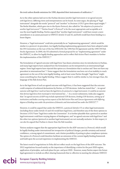the total carbon dioxide emissions for 1990, deposited their instruments of ratification.<sup>11</sup>

As to the other options laid out in the Durban decision (*another legal instrument or an agreed outcome with legal force)*, differing views and interpretations can be found. As some argue, the placing of "legal instrument" alongside the words "protocol" and "another" in Decision 1/CP.17 gives them equal weight.<sup>12</sup> The Berlin Mandate, which gave rise to the Kyoto Protocol, also called for "*the adoption of a protocol or another legal instrument*".13 Parties found "a Protocol" to be the most appropriate and acceptable as it was the most legally binding. Parties argued that "another legal instrument" could have meant a mere amendment or an annex pursuant to UNFCCC Article 15 and 16, and both would have been binding to a lesser degree.

However, a "legal instrument" could also potentially be an "implementing agreement", which would be similar to a protocol. As precedent, two legally binding implementing agreements have been adopted under the UN Convention on the Law of the Sea (UNCLOS): the 1994 Part XI Agreement and the 1995 UN Fish Stocks Agreement. In 2009, the US submitted a formal proposal for an "implementing agreement" under the UNFCCC, to allow for legally binding approaches and to reflect Bali Action Plan's mandate to further the implementation of the UNFCCC.<sup>14</sup>

The formulation of 'agreed outcome with legal force' has drawn attention since its introduction in Durban, and many legal experts have analysed how the formulation can be interpreted in an international legal regime. Some legal experts have rejected this option as a formulation that is unclear and "does not have any precedent in international law".15 Some suggest that the formulation was born out of an inability to reach agreement on the use of the term legally binding, and at least some Parties thought "legal force" might mean something less than legally binding. Others suggest that it could be similar to, but stronger than, the language of the Bali Action Plan.

As to the legal form of such an agreed outcome with legal force, it has been suggested that the outcome could comprise of unilateral declarations by Parties, or COP decisions. India has stated that *"…'an agreed outcome with legal force' need not have the legal form of a protocol or a legal instrument. It could be an outcome that derives legal force from municipal or international law …*". In a recent submission, India also suggests that "*an agreed outcome of ADP may include aspirational COP decisions, binding COP decisions, setting up of institutions and bodies covering various aspects of the Bali Action Plan and Cancun Agreements with differing degrees of binding-ness under the provisions of domestic and international law under the UNFCCC*".16

However, it could be argued that under the UNFCCC, a protocol (Article 17) or other legal instruments (including those under Article 15 and 16) would have legal force, and therefore any of the three options in Decision 1/CP.17 have "legal force under the Convention". It is further plausible that a protocol or another legal instrument could have varying degrees of bindingness, and "an agreed outcome with legal force" and the other two options (protocol or another legal instrument) are not mutually exclusive. In this respect, it can also be argued that Durban is clearer than the Bali mandate.

Various analyses suggest that the appropriate legal form for the ADP outcome is a Protocol, which would be legally binding under international law irrespective of political changes, provide certainty and mutual confidence, a strong signal of commitment, and a better possibility of putting in place compliance systems. The option of a Protocol could therefore facilitate an extension of the current legally binding framework and build upon the accrued experience in implementing the UNFCCC.

The latest round of negotiations in Doha did not reflect much on the legal form of the ADP outcome. The 2012 negotiations focused mainly on the importance of identifying a vision for the post-2020 regime, application of principles, and work plans for pre- and post-2020. However, many Parties expect the future legal agreement to include an effort-sharing framework that is: effective in meeting the ultimate UNFCCC

# ecbi European Capacity Building Initiative **8**<br> **8**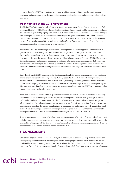objective; based on UNFCCC principles; applicable to all Parties with differentiated commitments for developed and developing countries; and includes operational mechanisms and reporting and compliance provisions.

## **Architecture of the 2015 Agreement**

The UNFCCC calls for multilateral, collective action to address climate change. Its principles, some of which are echoed in the 1992 Rio Declaration on Environment and Development, call for such action to be based on historical responsibility, equity, and common but differentiated responsibilities. These principles imply that developed countries must demonstrate leadership in the global effort in line with their historical contribution to the problem. An important point to underline in this particular instance is the evolving nature of historical responsibility, which is materially different from future responsibility as the main consideration, as has been suggested in some quarters. $17$ 

The UNFCCC also affirms the right to sustainable development, encouraging policies and measures to protect the climate system against human-induced change, based on the specific conditions of each Party and integrated with national development programmes, and taking into account that economic development is essential for adopting measures to address climate change. Hence the UNFCCC encourages Parties to cooperate and promote a supportive and open international economic system that would lead to sustainable economic growth and development in all Parties. It discourages unilateral measures that constitute a means of arbitrary or unjustifiable discrimination, or a disguised restriction on international trade.

Even though the UNFCCC commits all Parties to action, it calls for special consideration of the needs and special circumstances of developing country Parties, especially those that are particularly vulnerable to the adverse effects of climate change; and of those Parties, especially developing country Parties, that would have to bear a disproportionate or abnormal burden due to climate change. The main challenge facing the ADP negotiations, therefore, is to negotiate a future agreement based on these UNFCCC principles, rather than renegotiate the principles themselves.

The future instrument should address specific commitments for Annex I Parties in the form of economywide emissions reduction targets, with a trajectory assessing both 2020 and 2050 pathways. It should include clear and specific commitments for developed countries to support adaptation and mitigation, while recognizing that adaptation needs are strongly correlated to mitigation action. Developing country commitments based on deviations from business as usual, and the trajectories for such a deviation, need to be reflected including a mechanism for recognition of adaptation, finance and technology actions by developing countries as part of their contribution to obligations in UNFCCC Article 4.1.

The mechanisms agreed under the Bali Road Map on transparency, adaptation, finance, technology, capacity building, markets response measures, and the review need further mandates from the legal instrument in terms of how they support the delivery of commitments. Reporting and compliance provisions will have to be responsive to the nature of commitments of various Parties.

## **5. CONCLUSIONS**

While the pledge and review approach to mitigation and finance in the climate negations could result in wider participation of countries (including the US and developing countries), it has reduced the overall level of obligation and bindingness and resulted in a lower level of ambition, particularly for developed countries. The conditional pledges and weak rules agreed in the Bali Road Map negotiations actually equate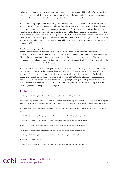to business as usual from 1990 levels, with real growth in emissions in non-EIT developed countries. The case for a strong, legally-binding regime and for pursuing ambition and legal rigour in a complementary manner rather than from a dichotomous perspective therefore remains valid.

The Bali Road Map negotiations provide important lessons and substantive outcomes for the negotiation and architecture of the 2015 agreement. A lesson from the Bali Road Map negotiations is that unilateral actions on mitigation and means of implementation are not effective, adequate or fair, as they will not keep the world safe or enable developing countries to respond to climate change. The definition of specific commitments for Parties within the same agreement whilst still reflecting differentiation as provided for by the UNFCCC will be a centrepiece of the work of the ADP. A reference framework against which fair efforts and contributions by Parties can be assessed could address fairness and adequacy in the future agreement under the ADP.

The climate change regime has delivered a number of institutions, mechanisms and modalities that provide a sound basis for strengthening the UNFCCC as the key platform for future action. These include the ambition mechanisms under the Kyoto Protocol; the 2013-2015 Review; the ambition workplan under the ADP; and the mechanisms on finance, adaptation, technology support and transparency. The mechanisms for supporting developing country action need to deliver concrete support going to 2015, to strengthen the justification of their role in the 2015 agreement.

The ADP is an opportunity to build upon the lessons learnt so far under the regime, and negotiate a more comprehensive international agreement that covers all aspects of the UNFCCC and allows for a holistic approach. The major challenges will include how to achieve fairness in the targets set for Parties while taking into account the constraint-based perspective of the UNFCCC; determination of an approach or approaches to commitments, consistent with UNFCCC principles; integration of operational mechanisms already established under the UNFCCC; and an appropriate legal form that balances wider participation with a higher level of obligation and bindingness.

#### **Endnotes**

1 UNFCCC (2011). Decision 1/CP.17. http://unfccc.int/resource/docs/2011/cop17/eng/09a01.pdf

2 The Bali Road Map contains Decision 1/CP.13 and 1/CMP.3, the mandates for formal negotiations under the UNFCCC and Kyoto Protocol, together with the earlier mandate in 1/CMP.1, establishing the AWG-KP. From 2006 to 2007, discussions under the UNFCCC were not formal negotiations.

3 United Nations (1992). *United Nations Framework Convention on Climate Change*. Article 4.1. http://unfccc.int/resource/docs/convkp/conveng. pdf

4 UNFCCC (2010). Decision 1/CP.16, paragraph 4. http://unfccc.int/resource/docs/2010/cop16/eng/07a01.pdf

5 UNFCCC (2009). Decision 2/CP.15, paragraph 4. http://unfccc.int/resource/docs/2009/cop15/eng/11a01.pdf

6 UNEP (2010). *The Emissions Gap Report*. http://www.unep.org/publications/ebooks/emissionsgapreport/

7 UNEP (2010). *The Emissions Gap Report*. http://www.unep.org/publications/ebooks/emissionsgapreport/

8 UNFCCC (2007). Decision 1/CP.13. http://unfccc.int/resource/docs/2007/cop13/eng/06a01.pdf#page=3

9 UNFCCC (2012). Decision x/CP.18

10 UNFCCC (2011). Decision 1/CP.17. Paragraph 2. http://unfccc.int/resource/docs/2011/cop17/eng/09a01.pdf

external European Capacity Building Initiative<br> **external European Capacity.org** 10